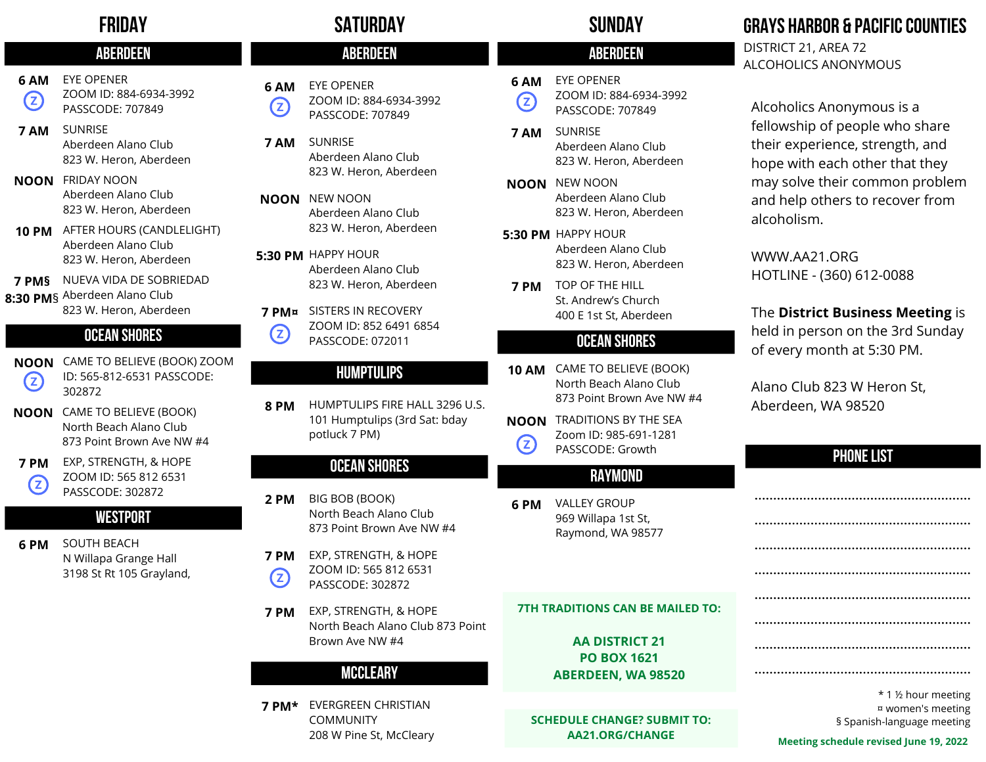# FRIDAY

# **ABERDEEN**

- EYE OPENER **6 AM** ZOOM ID: 884-6934-3992 **Z** PASSCODE: 707849
- SUNRISE Aberdeen Alano Club 823 W. Heron, Aberdeen **7 AM**
- FRIDAY NOON **NOON** Aberdeen Alano Club 823 W. Heron, Aberdeen
- AFTER HOURS (CANDLELIGHT) **10 PM** Aberdeen Alano Club 823 W. Heron, Aberdeen
- NUEVA VIDA DE SOBRIEDAD **7 PM§ 8:30 PM**§ Aberdeen Alano Club 823 W. Heron, Aberdeen

# ocean shores

- CAME TO BELIEVE (BOOK) ZOOM **NOON** ID: 565-812-6531 PASSCODE: **2** 302872
- CAME TO BELIEVE (BOOK) **NOON** North Beach Alano Club 873 Point Brown Ave NW #4
- **7 PM** EXP, STRENGTH, & HOPE ZOOM ID: 565 812 6531 **Z** PASSCODE: 302872

#### **WESTPORT**

SOUTH BEACH N Willapa Grange Hall 3198 St Rt 105 Grayland, **6 PM**

# SATURDAY SUNDAY

# ABERDEEN ABERDEEN ABERDEEN

EYE OPENER ZOOM ID: 884-6934-3992 PASSCODE: 707849 **6 AM**

**Z** 

- SUNRISE Aberdeen Alano Club 823 W. Heron, Aberdeen **7 AM**
- **NOON** NEW NOON Aberdeen Alano Club 823 W. Heron, Aberdeen
- **5:30 PM** HAPPY HOUR Aberdeen Alano Club 823 W. Heron, Aberdeen
- SISTERS IN RECOVERY **7 PM¤** ZOOM ID: 852 6491 6854  $\left( 2\right)$ PASSCODE: 072011

#### HUMPTULIPS

HUMPTULIPS FIRE HALL 3296 U.S. 101 Humptulips (3rd Sat: bday potluck 7 PM) **8 PM**

# ocean shores

- BIG BOB (BOOK) North Beach Alano Club 873 Point Brown Ave NW #4 **2 PM**
- **7 PM** EXP, STRENGTH, & HOPE ZOOM ID: 565 812 6531  $\left( 2\right)$ PASSCODE: 302872
- EXP, STRENGTH, & HOPE North Beach Alano Club 873 Point Brown Ave NW #4 **7 PM**

### **MCCLEARY**

EVERGREEN CHRISTIAN **7 PM\*** COMMUNITY 208 W Pine St, McCleary

#### EYE OPENER **6 AM**

ZOOM ID: 884-6934-3992  $\left( 2\right)$ PASSCODE: 707849

- SUNRISE Aberdeen Alano Club 823 W. Heron, Aberdeen **7 AM**
- **NOON** NEW NOON Aberdeen Alano Club 823 W. Heron, Aberdeen
- **5:30 PM** HAPPY HOUR Aberdeen Alano Club 823 W. Heron, Aberdeen
- TOP OF THE HILL **7 PM** St. Andrew's Church 400 E 1st St, Aberdeen

### ocean shores

- CAME TO BELIEVE (BOOK) **10 AM** North Beach Alano Club 873 Point Brown Ave NW #4
- **NOON** TRADITIONS BY THE SEA Zoom ID: 985-691-1281 **Z** PASSCODE: Growth

### RAYMOND

VALLEY GROUP 969 Willapa 1st St, Raymond, WA 98577 **6 PM**

#### **7TH TRADITIONS CAN BE MAILED TO:**

#### **AA DISTRICT 21 PO BOX 1621 ABERDEEN, WA 98520**

**SCHEDULE CHANGE? SUBMIT TO: AA21.ORG/CHANGE**

# **GRAYS HARBOR & PACIFIC COUNTIES**

DISTRICT 21, AREA 72 ALCOHOLICS ANONYMOUS

Alcoholics Anonymous is a fellowship of people who share their experience, strength, and hope with each other that they may solve their common problem and help others to recover from alcoholism.

WWW.AA21.ORG HOTLINE - (360) 612-0088

### The **District Business Meeting** is

held in person on the 3rd Sunday of every month at 5:30 PM.

Alano Club 823 W Heron St, Aberdeen, WA 98520

# **PHONE LIST**

| * 1 ½ hour meeting<br>¤ women's meeting<br>§ Spanish-language meeting |
|-----------------------------------------------------------------------|
| <b>Meeting schedule revised lune 19, 2022</b>                         |